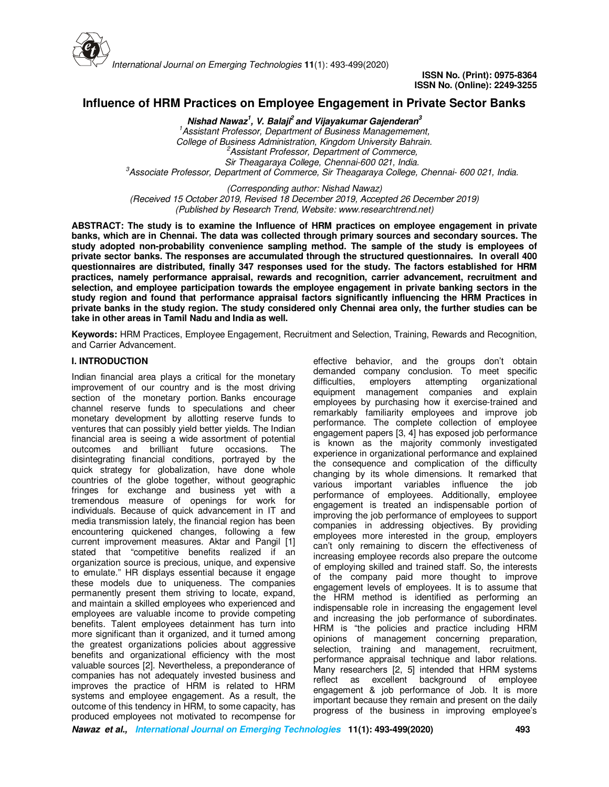

# **Influence of HRM Practices on Employee Engagement in Private Sector Banks**

**Nishad Nawaz<sup>1</sup> , V. Balaji<sup>2</sup>and Vijayakumar Gajenderan<sup>3</sup>** *<sup>1</sup>Assistant Professor, Department of Business Managemement, College of Business Administration, Kingdom University Bahrain. <sup>2</sup>Assistant Professor, Department of Commerce, Sir Theagaraya College, Chennai-600 021, India. <sup>3</sup>Associate Professor, Department of Commerce, Sir Theagaraya College, Chennai- 600 021, India.* 

*(Corresponding author: Nishad Nawaz) (Received 15 October 2019, Revised 18 December 2019, Accepted 26 December 2019) (Published by Research Trend, Website: www.researchtrend.net)* 

**ABSTRACT: The study is to examine the Influence of HRM practices on employee engagement in private banks, which are in Chennai. The data was collected through primary sources and secondary sources. The study adopted non-probability convenience sampling method. The sample of the study is employees of private sector banks. The responses are accumulated through the structured questionnaires. In overall 400 questionnaires are distributed, finally 347 responses used for the study. The factors established for HRM practices, namely performance appraisal, rewards and recognition, carrier advancement, recruitment and selection, and employee participation towards the employee engagement in private banking sectors in the study region and found that performance appraisal factors significantly influencing the HRM Practices in private banks in the study region. The study considered only Chennai area only, the further studies can be take in other areas in Tamil Nadu and India as well.** 

**Keywords:** HRM Practices, Employee Engagement, Recruitment and Selection, Training, Rewards and Recognition, and Carrier Advancement.

# **I. INTRODUCTION**

Indian financial area plays a critical for the monetary improvement of our country and is the most driving section of the monetary portion. Banks encourage channel reserve funds to speculations and cheer monetary development by allotting reserve funds to ventures that can possibly yield better yields. The Indian financial area is seeing a wide assortment of potential outcomes and brilliant future occasions. The disintegrating financial conditions, portrayed by the quick strategy for globalization, have done whole countries of the globe together, without geographic fringes for exchange and business yet with a tremendous measure of openings for work for individuals. Because of quick advancement in IT and media transmission lately, the financial region has been encountering quickened changes, following a few current improvement measures. Aktar and Pangil [1] stated that "competitive benefits realized if an organization source is precious, unique, and expensive to emulate." HR displays essential because it engage these models due to uniqueness. The companies permanently present them striving to locate, expand, and maintain a skilled employees who experienced and employees are valuable income to provide competing benefits. Talent employees detainment has turn into more significant than it organized, and it turned among the greatest organizations policies about aggressive benefits and organizational efficiency with the most valuable sources [2]. Nevertheless, a preponderance of companies has not adequately invested business and improves the practice of HRM is related to HRM systems and employee engagement. As a result, the outcome of this tendency in HRM, to some capacity, has produced employees not motivated to recompense for

effective behavior, and the groups don't obtain demanded company conclusion. To meet specific difficulties, employers attempting organizational difficulties, employers attempting organizational equipment management companies and explain employees by purchasing how it exercise-trained and remarkably familiarity employees and improve job performance. The complete collection of employee engagement papers [3, 4] has exposed job performance is known as the majority commonly investigated experience in organizational performance and explained the consequence and complication of the difficulty changing by its whole dimensions. It remarked that various important variables influence the job performance of employees. Additionally, employee engagement is treated an indispensable portion of improving the job performance of employees to support companies in addressing objectives. By providing employees more interested in the group, employers can't only remaining to discern the effectiveness of increasing employee records also prepare the outcome of employing skilled and trained staff. So, the interests of the company paid more thought to improve engagement levels of employees. It is to assume that the HRM method is identified as performing an indispensable role in increasing the engagement level and increasing the job performance of subordinates. HRM is "the policies and practice including HRM opinions of management concerning preparation, selection, training and management, recruitment, performance appraisal technique and labor relations. Many researchers [2, 5] intended that HRM systems reflect as excellent background of employee engagement & job performance of Job. It is more important because they remain and present on the daily progress of the business in improving employee's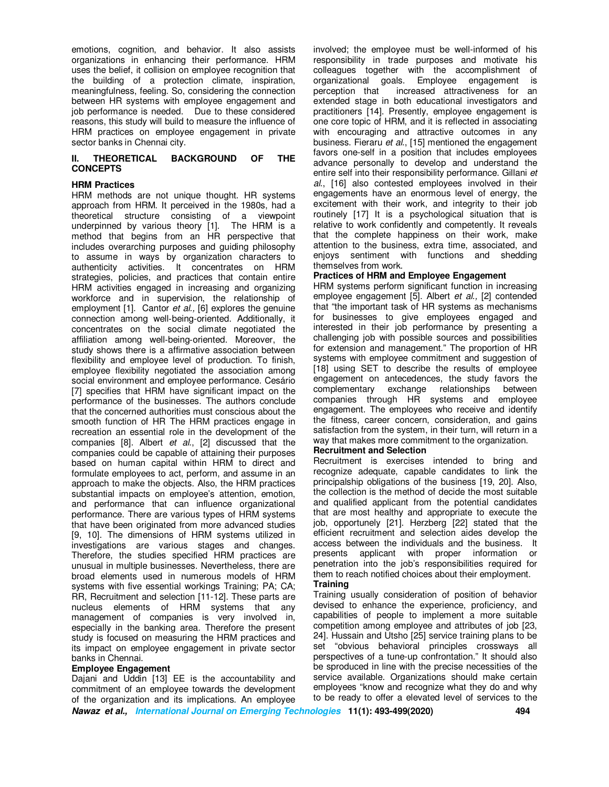emotions, cognition, and behavior. It also assists organizations in enhancing their performance. HRM uses the belief, it collision on employee recognition that the building of a protection climate, inspiration, meaningfulness, feeling. So, considering the connection between HR systems with employee engagement and job performance is needed. Due to these considered reasons, this study will build to measure the influence of HRM practices on employee engagement in private sector banks in Chennai city.

# **II. THEORETICAL BACKGROUND OF THE CONCEPTS**

#### **HRM Practices**

HRM methods are not unique thought. HR systems approach from HRM. It perceived in the 1980s, had a theoretical structure consisting of a viewpoint underpinned by various theory [1]. The HRM is a method that begins from an HR perspective that includes overarching purposes and guiding philosophy to assume in ways by organization characters to authenticity activities. It concentrates on HRM strategies, policies, and practices that contain entire HRM activities engaged in increasing and organizing workforce and in supervision, the relationship of employment [1]. Cantor *et al.,* [6] explores the genuine connection among well‐being‐oriented. Additionally, it concentrates on the social climate negotiated the affiliation among well-being-oriented. Moreover, the study shows there is a affirmative association between flexibility and employee level of production. To finish, employee flexibility negotiated the association among social environment and employee performance. Cesário [7] specifies that HRM have significant impact on the performance of the businesses. The authors conclude that the concerned authorities must conscious about the smooth function of HR The HRM practices engage in recreation an essential role in the development of the companies [8]. Albert *et al.*, [2] discussed that the companies could be capable of attaining their purposes based on human capital within HRM to direct and formulate employees to act, perform, and assume in an approach to make the objects. Also, the HRM practices substantial impacts on employee's attention, emotion, and performance that can influence organizational performance. There are various types of HRM systems that have been originated from more advanced studies [9, 10]. The dimensions of HRM systems utilized in investigations are various stages and changes. Therefore, the studies specified HRM practices are unusual in multiple businesses. Nevertheless, there are broad elements used in numerous models of HRM systems with five essential workings Training; PA; CA; RR, Recruitment and selection [11-12]. These parts are nucleus elements of HRM systems that any management of companies is very involved in, especially in the banking area. Therefore the present study is focused on measuring the HRM practices and its impact on employee engagement in private sector banks in Chennai.

#### **Employee Engagement**

Dajani and Uddin [13] EE is the accountability and commitment of an employee towards the development of the organization and its implications. An employee involved; the employee must be well-informed of his responsibility in trade purposes and motivate his colleagues together with the accomplishment of organizational goals. Employee engagement is perception that increased attractiveness for an extended stage in both educational investigators and practitioners [14]. Presently, employee engagement is one core topic of HRM, and it is reflected in associating with encouraging and attractive outcomes in any business. Fieraru *et al.*, [15] mentioned the engagement favors one-self in a position that includes employees advance personally to develop and understand the entire self into their responsibility performance. Gillani *et al*., [16] also contested employees involved in their engagements have an enormous level of energy, the excitement with their work, and integrity to their job routinely [17] It is a psychological situation that is relative to work confidently and competently. It reveals that the complete happiness on their work, make attention to the business, extra time, associated, and enjoys sentiment with functions and shedding themselves from work.

#### **Practices of HRM and Employee Engagement**

HRM systems perform significant function in increasing employee engagement [5]. Albert *et al.,* [2] contended that "the important task of HR systems as mechanisms for businesses to give employees engaged and interested in their job performance by presenting a challenging job with possible sources and possibilities for extension and management." The proportion of HR systems with employee commitment and suggestion of [18] using SET to describe the results of employee engagement on antecedences, the study favors the complementary exchange relationships between companies through HR systems and employee engagement. The employees who receive and identify the fitness, career concern, consideration, and gains satisfaction from the system, in their turn, will return in a way that makes more commitment to the organization.

#### **Recruitment and Selection**

Recruitment is exercises intended to bring and recognize adequate, capable candidates to link the principalship obligations of the business [19, 20]. Also, the collection is the method of decide the most suitable and qualified applicant from the potential candidates that are most healthy and appropriate to execute the job, opportunely [21]. Herzberg [22] stated that the efficient recruitment and selection aides develop the access between the individuals and the business. It presents applicant with proper information or penetration into the job's responsibilities required for them to reach notified choices about their employment. **Training** 

Training usually consideration of position of behavior devised to enhance the experience, proficiency, and capabilities of people to implement a more suitable competition among employee and attributes of job [23, 24]. Hussain and Utsho [25] service training plans to be set "obvious behavioral principles crossways all perspectives of a tune-up confrontation." It should also be sproduced in line with the precise necessities of the service available. Organizations should make certain employees "know and recognize what they do and why to be ready to offer a elevated level of services to the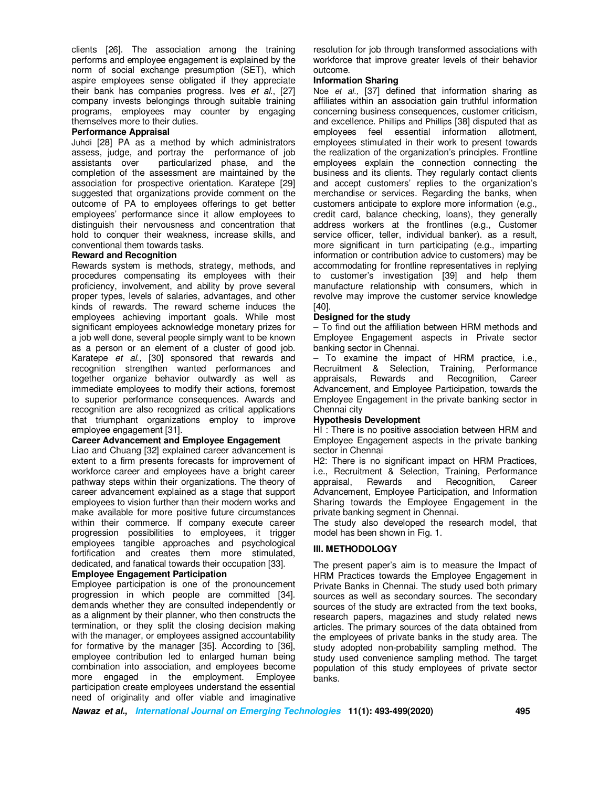clients [26]. The association among the training performs and employee engagement is explained by the norm of social exchange presumption (SET), which aspire employees sense obligated if they appreciate their bank has companies progress. Ives *et al.*, [27] company invests belongings through suitable training programs, employees may counter by engaging themselves more to their duties.

# **Performance Appraisal**

Juhdi [28] PA as a method by which administrators assess, judge, and portray the performance of job assistants over particularized phase, and the completion of the assessment are maintained by the association for prospective orientation. Karatepe [29] suggested that organizations provide comment on the outcome of PA to employees offerings to get better employees' performance since it allow employees to distinguish their nervousness and concentration that hold to conquer their weakness, increase skills, and conventional them towards tasks.

#### **Reward and Recognition**

Rewards system is methods, strategy, methods, and procedures compensating its employees with their proficiency, involvement, and ability by prove several proper types, levels of salaries, advantages, and other kinds of rewards. The reward scheme induces the employees achieving important goals. While most significant employees acknowledge monetary prizes for a job well done, several people simply want to be known as a person or an element of a cluster of good job. Karatepe *et al.,* [30] sponsored that rewards and recognition strengthen wanted performances and together organize behavior outwardly as well as immediate employees to modify their actions, foremost to superior performance consequences. Awards and recognition are also recognized as critical applications that triumphant organizations employ to improve employee engagement [31].

#### **Career Advancement and Employee Engagement**

Liao and Chuang [32] explained career advancement is extent to a firm presents forecasts for improvement of workforce career and employees have a bright career pathway steps within their organizations. The theory of career advancement explained as a stage that support employees to vision further than their modern works and make available for more positive future circumstances within their commerce. If company execute career progression possibilities to employees, it trigger employees tangible approaches and psychological fortification and creates them more stimulated, dedicated, and fanatical towards their occupation [33].

#### **Employee Engagement Participation**

Employee participation is one of the pronouncement progression in which people are committed [34]. demands whether they are consulted independently or as a alignment by their planner, who then constructs the termination, or they split the closing decision making with the manager, or employees assigned accountability for formative by the manager [35]. According to [36], employee contribution led to enlarged human being combination into association, and employees become more engaged in the employment. Employee participation create employees understand the essential need of originality and offer viable and imaginative

resolution for job through transformed associations with workforce that improve greater levels of their behavior outcome.

## **Information Sharing**

Noe *et al.,* [37] defined that information sharing as affiliates within an association gain truthful information concerning business consequences, customer criticism, and excellence. Phillips and Phillips [38] disputed that as employees feel essential information allotment, employees stimulated in their work to present towards the realization of the organization's principles. Frontline employees explain the connection connecting the business and its clients. They regularly contact clients and accept customers' replies to the organization's merchandise or services. Regarding the banks, when customers anticipate to explore more information (e.g., credit card, balance checking, loans), they generally address workers at the frontlines (e.g., Customer service officer, teller, individual banker). as a result, more significant in turn participating (e.g., imparting information or contribution advice to customers) may be accommodating for frontline representatives in replying to customer's investigation [39] and help them manufacture relationship with consumers, which in revolve may improve the customer service knowledge [40].

## **Designed for the study**

– To find out the affiliation between HRM methods and Employee Engagement aspects in Private sector banking sector in Chennai.

– To examine the impact of HRM practice, i.e., Recruitment & Selection, Training, Performance appraisals, Rewards and Recognition, Career Advancement, and Employee Participation, towards the Employee Engagement in the private banking sector in Chennai city

## **Hypothesis Development**

HI : There is no positive association between HRM and Employee Engagement aspects in the private banking sector in Chennai

H2: There is no significant impact on HRM Practices, i.e., Recruitment & Selection, Training, Performance appraisal, Rewards and Recognition, Career Advancement, Employee Participation, and Information Sharing towards the Employee Engagement in the private banking segment in Chennai.

The study also developed the research model, that model has been shown in Fig. 1.

## **III. METHODOLOGY**

The present paper's aim is to measure the Impact of HRM Practices towards the Employee Engagement in Private Banks in Chennai. The study used both primary sources as well as secondary sources. The secondary sources of the study are extracted from the text books, research papers, magazines and study related news articles. The primary sources of the data obtained from the employees of private banks in the study area. The study adopted non-probability sampling method. The study used convenience sampling method. The target population of this study employees of private sector banks.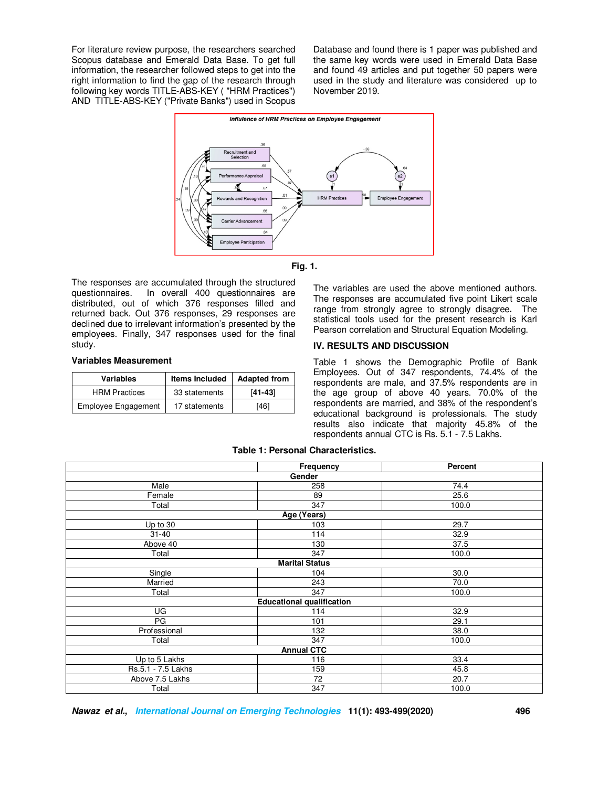For literature review purpose, the researchers searched Scopus database and Emerald Data Base. To get full information, the researcher followed steps to get into the right information to find the gap of the research through following key words TITLE-ABS-KEY ( "HRM Practices") AND TITLE-ABS-KEY ("Private Banks") used in Scopus

Database and found there is 1 paper was published and the same key words were used in Emerald Data Base and found 49 articles and put together 50 papers were used in the study and literature was considered up to November 2019.



**Fig. 1.** 

The responses are accumulated through the structured questionnaires. In overall 400 questionnaires are distributed, out of which 376 responses filled and returned back. Out 376 responses, 29 responses are declined due to irrelevant information's presented by the employees. Finally, 347 responses used for the final study.

# **Variables Measurement**

| Variables                  | <b>Items Included</b> | <b>Adapted from</b> |
|----------------------------|-----------------------|---------------------|
| <b>HRM Practices</b>       | 33 statements         | $[41 - 43]$         |
| <b>Employee Engagement</b> | 17 statements         | [46]                |

The variables are used the above mentioned authors. The responses are accumulated five point Likert scale range from strongly agree to strongly disagree**.** The statistical tools used for the present research is Karl Pearson correlation and Structural Equation Modeling.

# **IV. RESULTS AND DISCUSSION**

Table 1 shows the Demographic Profile of Bank Employees. Out of 347 respondents, 74.4% of the respondents are male, and 37.5% respondents are in the age group of above 40 years. 70.0% of the respondents are married, and 38% of the respondent's educational background is professionals. The study results also indicate that majority 45.8% of the respondents annual CTC is Rs. 5.1 - 7.5 Lakhs.

|                    | Frequency                        | Percent |  |  |  |
|--------------------|----------------------------------|---------|--|--|--|
| Gender             |                                  |         |  |  |  |
| Male               | 258                              | 74.4    |  |  |  |
| Female             | 89                               | 25.6    |  |  |  |
| Total              | 347                              | 100.0   |  |  |  |
| Age (Years)        |                                  |         |  |  |  |
| Up to 30           | 103                              | 29.7    |  |  |  |
| $31 - 40$          | 114                              | 32.9    |  |  |  |
| Above 40           | 130                              | 37.5    |  |  |  |
| Total              | 347                              | 100.0   |  |  |  |
|                    | <b>Marital Status</b>            |         |  |  |  |
| Single             | 104                              | 30.0    |  |  |  |
| Married            | 243                              | 70.0    |  |  |  |
| Total              | 347                              | 100.0   |  |  |  |
|                    | <b>Educational qualification</b> |         |  |  |  |
| UG                 | 114                              | 32.9    |  |  |  |
| PG                 | 101                              | 29.1    |  |  |  |
| Professional       | 132                              | 38.0    |  |  |  |
| Total              | 347                              | 100.0   |  |  |  |
| <b>Annual CTC</b>  |                                  |         |  |  |  |
| Up to 5 Lakhs      | 116                              | 33.4    |  |  |  |
| Rs.5.1 - 7.5 Lakhs | 159                              | 45.8    |  |  |  |
| Above 7.5 Lakhs    | 72                               | 20.7    |  |  |  |
| Total              | 347                              | 100.0   |  |  |  |

#### **Table 1: Personal Characteristics.**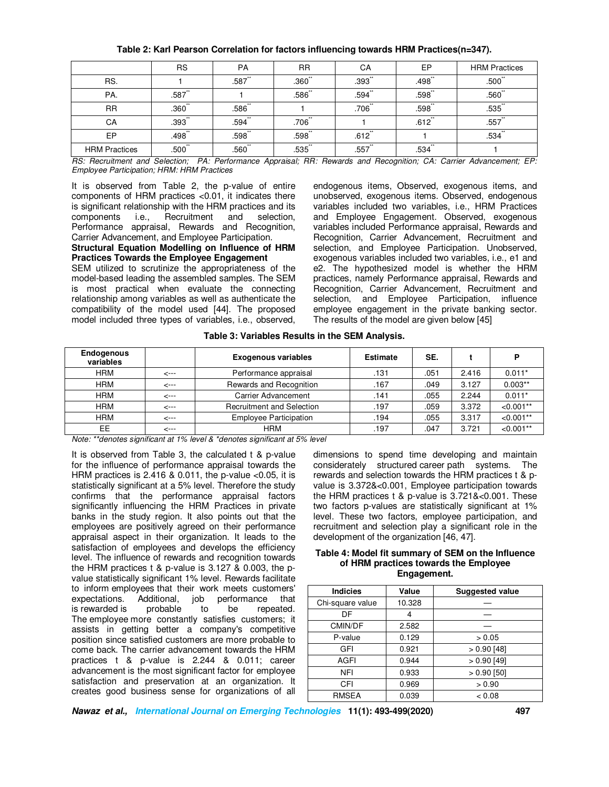|                      | <b>RS</b>            | <b>PA</b>            | <b>RR</b> | CA                   | EP                   | <b>HRM Practices</b> |
|----------------------|----------------------|----------------------|-----------|----------------------|----------------------|----------------------|
| RS.                  |                      | .587                 | $.360$ "  | $.393$ <sup>**</sup> | .498                 | $.500$ <sup>**</sup> |
| PA.                  | .587                 |                      | .586      | .594                 | .598                 | $.560^{**}$          |
| <b>RR</b>            | $.360^{**}$          | $.586^{**}$          |           | .706                 | .598                 | .535                 |
| СA                   | $.393$ <sup>**</sup> | $.594$ **            | .706      |                      | $.612$ <sup>**</sup> | .557                 |
| EP                   | $.498$ <sup>**</sup> | $.598$ <sup>**</sup> | $.598$ "  | $.612$ <sup>**</sup> |                      | $.534$ **            |
| <b>HRM Practices</b> | $.500^{*}$           | $.560$ "             | .535      | .557                 | .534                 |                      |

## **Table 2: Karl Pearson Correlation for factors influencing towards HRM Practices(n=347).**

*RS: Recruitment and Selection; PA: Performance Appraisal; RR: Rewards and Recognition; CA: Carrier Advancement; EP: Employee Participation; HRM: HRM Practices* 

It is observed from Table 2, the p-value of entire components of HRM practices <0.01, it indicates there is significant relationship with the HRM practices and its components i.e., Recruitment and selection, Performance appraisal, Rewards and Recognition, Carrier Advancement, and Employee Participation. **Structural Equation Modelling on Influence of HRM Practices Towards the Employee Engagement** 

SEM utilized to scrutinize the appropriateness of the model-based leading the assembled samples. The SEM is most practical when evaluate the connecting relationship among variables as well as authenticate the compatibility of the model used [44]. The proposed model included three types of variables, i.e., observed,

endogenous items, Observed, exogenous items, and unobserved, exogenous items. Observed, endogenous variables included two variables, i.e., HRM Practices and Employee Engagement. Observed, exogenous variables included Performance appraisal, Rewards and Recognition, Carrier Advancement, Recruitment and selection, and Employee Participation. Unobserved, exogenous variables included two variables, i.e., e1 and e2. The hypothesized model is whether the HRM practices, namely Performance appraisal, Rewards and Recognition, Carrier Advancement, Recruitment and selection, and Employee Participation, influence employee engagement in the private banking sector. The results of the model are given below [45]

**Table 3: Variables Results in the SEM Analysis.** 

| <b>Endogenous</b><br>variables                                                   |              | <b>Exogenous variables</b>       | <b>Estimate</b> | SE.  |       | P           |
|----------------------------------------------------------------------------------|--------------|----------------------------------|-----------------|------|-------|-------------|
| <b>HRM</b>                                                                       | <---         | Performance appraisal            | .131            | .051 | 2.416 | $0.011*$    |
| <b>HRM</b>                                                                       | <---         | Rewards and Recognition          | .167            | .049 | 3.127 | $0.003**$   |
| <b>HRM</b>                                                                       | $\leftarrow$ | <b>Carrier Advancement</b>       | .141            | .055 | 2.244 | $0.011*$    |
| <b>HRM</b>                                                                       | <---         | <b>Recruitment and Selection</b> | .197            | .059 | 3.372 | $< 0.001**$ |
| <b>HRM</b>                                                                       | $\leftarrow$ | <b>Employee Participation</b>    | .194            | .055 | 3.317 | $< 0.001**$ |
| EE.                                                                              | <---         | <b>HRM</b>                       | .197            | .047 | 3.721 | $< 0.001**$ |
| Note: ** departed pignificant at 10/ loyal 8 * departed pignificant at 50/ loyal |              |                                  |                 |      |       |             |

*Note: \*\*denotes significant at 1% level & \*denotes significant at 5% level* 

It is observed from Table 3, the calculated t & p-value for the influence of performance appraisal towards the HRM practices is  $2.416 \& 0.011$ , the p-value <0.05, it is statistically significant at a 5% level. Therefore the study confirms that the performance appraisal factors significantly influencing the HRM Practices in private banks in the study region. It also points out that the employees are positively agreed on their performance appraisal aspect in their organization. It leads to the satisfaction of employees and develops the efficiency level. The influence of rewards and recognition towards the HRM practices t & p-value is 3.127 & 0.003, the pvalue statistically significant 1% level. Rewards facilitate to inform employees that their work meets customers' expectations. Additional, job performance that is rewarded is probable to be repeated. The employee more constantly satisfies customers; it assists in getting better a company's competitive position since satisfied customers are more probable to come back. The carrier advancement towards the HRM practices t & p-value is 2.244 & 0.011; career advancement is the most significant factor for employee satisfaction and preservation at an organization. It creates good business sense for organizations of all

dimensions to spend time developing and maintain considerately structured career path systems. The rewards and selection towards the HRM practices t & pvalue is 3.372&<0.001, Employee participation towards the HRM practices t & p-value is 3.721&<0.001. These two factors p-values are statistically significant at 1% level. These two factors, employee participation, and recruitment and selection play a significant role in the development of the organization [46, 47].

#### **Table 4: Model fit summary of SEM on the Influence of HRM practices towards the Employee Engagement.**

| <b>Indicies</b>  | Value  | <b>Suggested value</b> |
|------------------|--------|------------------------|
| Chi-square value | 10.328 |                        |
| DF               | 4      |                        |
| CMIN/DF          | 2.582  |                        |
| P-value          | 0.129  | > 0.05                 |
| GFI              | 0.921  | $>0.90$ [48]           |
| AGFI             | 0.944  | $>0.90$ [49]           |
| <b>NFI</b>       | 0.933  | $> 0.90$ [50]          |
| CFI              | 0.969  | > 0.90                 |
| <b>RMSEA</b>     | 0.039  | < 0.08                 |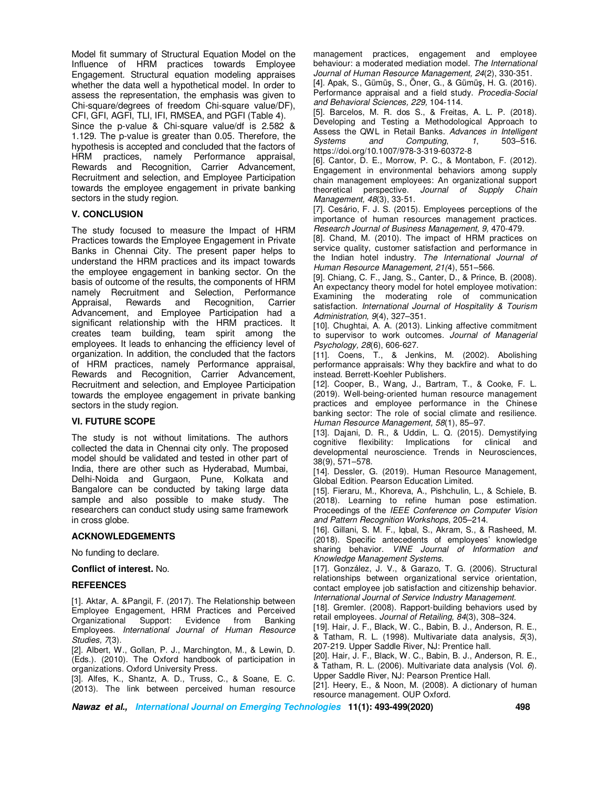Model fit summary of Structural Equation Model on the Influence of HRM practices towards Employee Engagement. Structural equation modeling appraises whether the data well a hypothetical model. In order to assess the representation, the emphasis was given to Chi-square/degrees of freedom Chi-square value/DF), CFI, GFI, AGFI, TLI, IFI, RMSEA, and PGFI (Table 4).

Since the p-value & Chi-square value/df is 2.582 & 1.129. The p-value is greater than 0.05. Therefore, the hypothesis is accepted and concluded that the factors of HRM practices, namely Performance appraisal, Rewards and Recognition, Carrier Advancement, Recruitment and selection, and Employee Participation towards the employee engagement in private banking sectors in the study region.

# **V. CONCLUSION**

The study focused to measure the Impact of HRM Practices towards the Employee Engagement in Private Banks in Chennai City. The present paper helps to understand the HRM practices and its impact towards the employee engagement in banking sector. On the basis of outcome of the results, the components of HRM namely Recruitment and Selection, Performance Appraisal, Rewards and Recognition, Carrier Advancement, and Employee Participation had a significant relationship with the HRM practices. It creates team building, team spirit among the employees. It leads to enhancing the efficiency level of organization. In addition, the concluded that the factors of HRM practices, namely Performance appraisal, Rewards and Recognition, Carrier Advancement, Recruitment and selection, and Employee Participation towards the employee engagement in private banking sectors in the study region.

## **VI. FUTURE SCOPE**

The study is not without limitations. The authors collected the data in Chennai city only. The proposed model should be validated and tested in other part of India, there are other such as Hyderabad, Mumbai, Delhi-Noida and Gurgaon, Pune, Kolkata and Bangalore can be conducted by taking large data sample and also possible to make study. The researchers can conduct study using same framework in cross globe.

# **ACKNOWLEDGEMENTS**

No funding to declare.

#### **Conflict of interest.** No.

## **REFEENCES**

[1]. Aktar, A. &Pangil, F. (2017). The Relationship between Employee Engagement, HRM Practices and Perceived Organizational Support: Evidence from Banking Employees. *International Journal of Human Resource Studies, 7*(3).

[2]. Albert, W., Gollan, P. J., Marchington, M., & Lewin, D. (Eds.). (2010). The Oxford handbook of participation in organizations. Oxford University Press.

[3]. Alfes, K., Shantz, A. D., Truss, C., & Soane, E. C. (2013). The link between perceived human resource management practices, engagement and employee behaviour: a moderated mediation model. *The International Journal of Human Resource Management, 24*(2), 330-351.

[4]. Apak, S., Gümüş, S., Öner, G., & Gümüş, H. G. (2016). Performance appraisal and a field study. *Procedia-Social and Behavioral Sciences, 229,* 104-114.

[5]. Barcelos, M. R. dos S., & Freitas, A. L. P. (2018). Developing and Testing a Methodological Approach to Assess the QWL in Retail Banks. *Advances in Intelligent Systems* and *Computing*, 1, https://doi.org/10.1007/978-3-319-60372-8

[6]. Cantor, D. E., Morrow, P. C., & Montabon, F. (2012). Engagement in environmental behaviors among supply chain management employees: An organizational support theoretical perspective. *Journal of Supply Chain Management, 48*(3), 33-51.

[7]. Cesário, F. J. S. (2015). Employees perceptions of the importance of human resources management practices. *Research Journal of Business Management, 9,* 470-479.

[8]. Chand, M. (2010). The impact of HRM practices on service quality, customer satisfaction and performance in the Indian hotel industry. *The International Journal of Human Resource Management, 21(*4), 551–566.

[9]. Chiang, C. F., Jang, S., Canter, D., & Prince, B. (2008). An expectancy theory model for hotel employee motivation: Examining the moderating role of communication satisfaction. *International Journal of Hospitality & Tourism Administration, 9*(4), 327–351.

[10]. Chughtai, A. A. (2013). Linking affective commitment to supervisor to work outcomes. *Journal of Managerial Psychology, 28*(6), 606-627.

[11]. Coens, T., & Jenkins, M. (2002). Abolishing performance appraisals: Why they backfire and what to do instead. Berrett-Koehler Publishers.

[12]. Cooper, B., Wang, J., Bartram, T., & Cooke, F. L. (2019). Well-being-oriented human resource management practices and employee performance in the Chinese banking sector: The role of social climate and resilience. *Human Resource Management, 58*(1), 85–97.

[13]. Dajani, D. R., & Uddin, L. Q. (2015). Demystifying cognitive flexibility: Implications for clinical and developmental neuroscience. Trends in Neurosciences, 38(9), 571–578.

[14]. Dessler, G. (2019). Human Resource Management, Global Edition. Pearson Education Limited.

[15]. Fieraru, M., Khoreva, A., Pishchulin, L., & Schiele, B. (2018). Learning to refine human pose estimation. Proceedings of the *IEEE Conference on Computer Vision and Pattern Recognition Workshops*, 205–214.

[16]. Gillani, S. M. F., Iqbal, S., Akram, S., & Rasheed, M. (2018). Specific antecedents of employees' knowledge sharing behavior. *VINE Journal of Information and Knowledge Management Systems*.

[17]. González, J. V., & Garazo, T. G. (2006). Structural relationships between organizational service orientation, contact employee job satisfaction and citizenship behavior. *International Journal of Service Industry Management.* 

[18]. Gremler. (2008). Rapport-building behaviors used by retail employees. *Journal of Retailing, 84*(3), 308–324.

[19]. Hair, J. F., Black, W. C., Babin, B. J., Anderson, R. E., & Tatham, R. L. (1998). Multivariate data analysis, *5*(3), 207-219. Upper Saddle River, NJ: Prentice hall.

[20]. Hair, J. F., Black, W. C., Babin, B. J., Anderson, R. E., & Tatham, R. L. (2006). Multivariate data analysis (Vol. *6*). Upper Saddle River, NJ: Pearson Prentice Hall.

[21]. Heery, E., & Noon, M. (2008). A dictionary of human resource management. OUP Oxford.